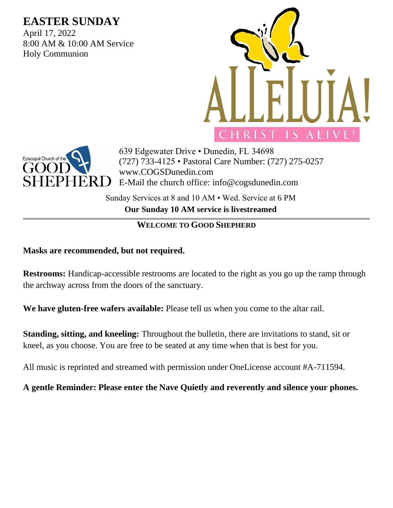# **EASTER SUNDAY**

April 17, 2022 8:00 AM & 10:00 AM Service Holy Communion





639 Edgewater Drive • Dunedin, FL 34698 (727) 733-4125 • Pastoral Care Number: (727) 275-0257 www.COGSDunedin.com E-Mail the church office: info@cogsdunedin.com

Sunday Services at 8 and 10 AM • Wed. Service at 6 PM

**Our Sunday 10 AM service is livestreamed**

#### **WELCOME TO GOOD SHEPHERD**

#### **Masks are recommended, but not required.**

**Restrooms:** Handicap-accessible restrooms are located to the right as you go up the ramp through the archway across from the doors of the sanctuary.

**We have gluten-free wafers available:** Please tell us when you come to the altar rail.

**Standing, sitting, and kneeling:** Throughout the bulletin, there are invitations to stand, sit or kneel, as you choose. You are free to be seated at any time when that is best for you.

All music is reprinted and streamed with permission under OneLicense account #A-711594.

**A gentle Reminder: Please enter the Nave Quietly and reverently and silence your phones.**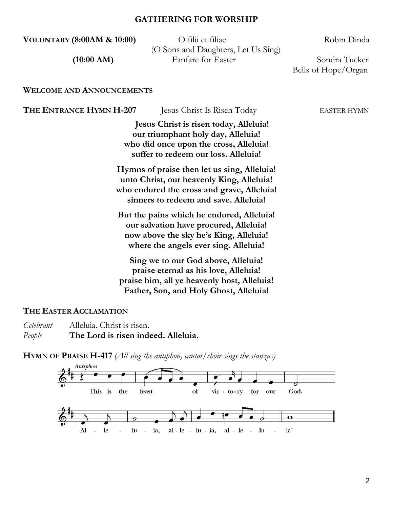#### **GATHERING FOR WORSHIP**

**VOLUNTARY (8:00AM & 10:00)** O filii et filiaeRobin Dinda (O Sons and Daughters, Let Us Sing)<br>
Fanfare for Easter **Fanfare for Easter Sondra Tucker** 

Bells of Hope/Organ

#### **WELCOME AND ANNOUNCEMENTS**

| THE ENTRANCE HYMN H-207 | Jesus Christ Is Risen Today                                                                                                                                                     | <b>EASTER HYMN</b> |
|-------------------------|---------------------------------------------------------------------------------------------------------------------------------------------------------------------------------|--------------------|
|                         | Jesus Christ is risen today, Alleluia!<br>our triumphant holy day, Alleluia!<br>who did once upon the cross, Alleluia!<br>suffer to redeem our loss. Alleluia!                  |                    |
|                         | Hymns of praise then let us sing, Alleluia!<br>unto Christ, our heavenly King, Alleluia!<br>who endured the cross and grave, Alleluia!<br>sinners to redeem and save. Alleluia! |                    |
|                         | But the pains which he endured, Alleluia!<br>our salvation have procured, Alleluia!<br>now above the sky he's King, Alleluia!<br>where the angels ever sing. Alleluia!          |                    |
|                         | Sing we to our God above, Alleluia!<br>praise eternal as his love, Alleluia!<br>praise him, all ye heavenly host, Alleluia!<br>Father, Son, and Holy Ghost, Alleluia!           |                    |

#### **THE EASTER ACCLAMATION**

*Celebrant* Alleluia. Christ is risen. *People* **The Lord is risen indeed. Alleluia.**

**HYMN OF PRAISE H-417** *(All sing the antiphon, cantor/choir sings the stanzas)*

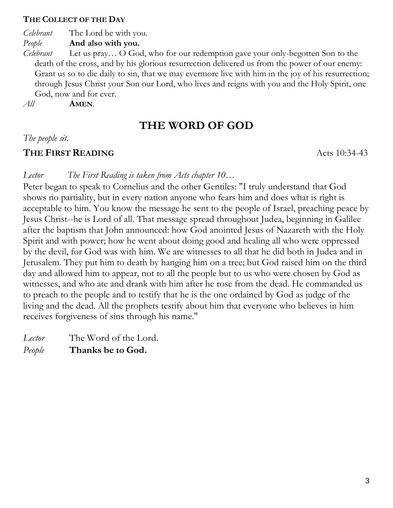#### **THE COLLECT OF THE DAY**

*Celebrant* The Lord be with you.

*People* **And also with you.**

*Celebrant* Let us pray… O God, who for our redemption gave your only-begotten Son to the death of the cross, and by his glorious resurrection delivered us from the power of our enemy: Grant us so to die daily to sin, that we may evermore live with him in the joy of his resurrection; through Jesus Christ your Son our Lord, who lives and reigns with you and the Holy Spirit, one God, now and for ever.

*All* **AMEN**.

# **THE WORD OF GOD**

*The people sit.*

# **THE FIRST READING** Acts 10:34-43

### *Lector The First Reading is taken from Acts chapter 10…*

Peter began to speak to Cornelius and the other Gentiles: "I truly understand that God shows no partiality, but in every nation anyone who fears him and does what is right is acceptable to him. You know the message he sent to the people of Israel, preaching peace by Jesus Christ--he is Lord of all. That message spread throughout Judea, beginning in Galilee after the baptism that John announced: how God anointed Jesus of Nazareth with the Holy Spirit and with power; how he went about doing good and healing all who were oppressed by the devil, for God was with him. We are witnesses to all that he did both in Judea and in Jerusalem. They put him to death by hanging him on a tree; but God raised him on the third day and allowed him to appear, not to all the people but to us who were chosen by God as witnesses, and who ate and drank with him after he rose from the dead. He commanded us to preach to the people and to testify that he is the one ordained by God as judge of the living and the dead. All the prophets testify about him that everyone who believes in him receives forgiveness of sins through his name."

*Lector* The Word of the Lord. *People* **Thanks be to God.**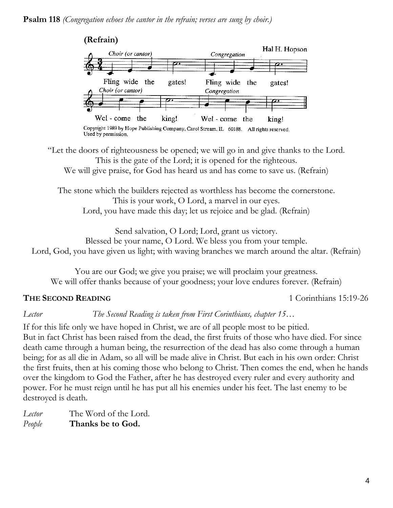

Used by permission.

"Let the doors of righteousness be opened; we will go in and give thanks to the Lord. This is the gate of the Lord; it is opened for the righteous. We will give praise, for God has heard us and has come to save us. (Refrain)

The stone which the builders rejected as worthless has become the cornerstone. This is your work, O Lord, a marvel in our eyes. Lord, you have made this day; let us rejoice and be glad. (Refrain)

Send salvation, O Lord; Lord, grant us victory.

Blessed be your name, O Lord. We bless you from your temple.

Lord, God, you have given us light; with waving branches we march around the altar. (Refrain)

You are our God; we give you praise; we will proclaim your greatness. We will offer thanks because of your goodness; your love endures forever. (Refrain)

## **THE SECOND READING** 1 Corinthians 15:19-26

*Lector The Second Reading is taken from First Corinthians, chapter 15…*

If for this life only we have hoped in Christ, we are of all people most to be pitied. But in fact Christ has been raised from the dead, the first fruits of those who have died. For since death came through a human being, the resurrection of the dead has also come through a human being; for as all die in Adam, so all will be made alive in Christ. But each in his own order: Christ the first fruits, then at his coming those who belong to Christ. Then comes the end, when he hands over the kingdom to God the Father, after he has destroyed every ruler and every authority and power. For he must reign until he has put all his enemies under his feet. The last enemy to be destroyed is death.

*Lector* The Word of the Lord. *People* **Thanks be to God.**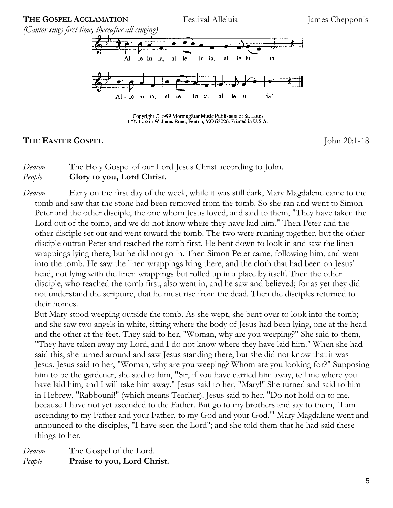

**THE EASTER GOSPEL** John 20:1-18

## *Deacon* The Holy Gospel of our Lord Jesus Christ according to John. *People* **Glory to you, Lord Christ.**

*Deacon* Early on the first day of the week, while it was still dark, Mary Magdalene came to the tomb and saw that the stone had been removed from the tomb. So she ran and went to Simon Peter and the other disciple, the one whom Jesus loved, and said to them, "They have taken the Lord out of the tomb, and we do not know where they have laid him." Then Peter and the other disciple set out and went toward the tomb. The two were running together, but the other disciple outran Peter and reached the tomb first. He bent down to look in and saw the linen wrappings lying there, but he did not go in. Then Simon Peter came, following him, and went into the tomb. He saw the linen wrappings lying there, and the cloth that had been on Jesus' head, not lying with the linen wrappings but rolled up in a place by itself. Then the other disciple, who reached the tomb first, also went in, and he saw and believed; for as yet they did not understand the scripture, that he must rise from the dead. Then the disciples returned to their homes.

 But Mary stood weeping outside the tomb. As she wept, she bent over to look into the tomb; and she saw two angels in white, sitting where the body of Jesus had been lying, one at the head and the other at the feet. They said to her, "Woman, why are you weeping?" She said to them, "They have taken away my Lord, and I do not know where they have laid him." When she had said this, she turned around and saw Jesus standing there, but she did not know that it was Jesus. Jesus said to her, "Woman, why are you weeping? Whom are you looking for?" Supposing him to be the gardener, she said to him, "Sir, if you have carried him away, tell me where you have laid him, and I will take him away." Jesus said to her, "Mary!" She turned and said to him in Hebrew, "Rabbouni!" (which means Teacher). Jesus said to her, "Do not hold on to me, because I have not yet ascended to the Father. But go to my brothers and say to them, `I am ascending to my Father and your Father, to my God and your God.'" Mary Magdalene went and announced to the disciples, "I have seen the Lord"; and she told them that he had said these things to her.

*Deacon* The Gospel of the Lord. *People* **Praise to you, Lord Christ.**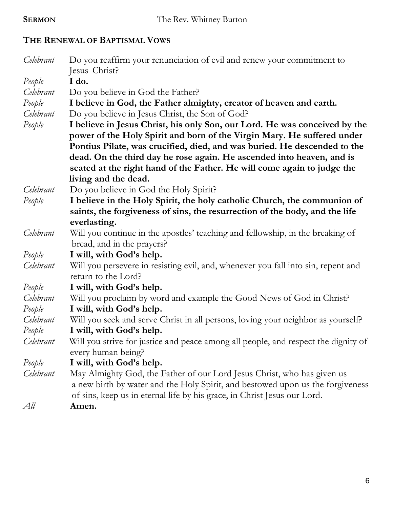# **THE RENEWAL OF BAPTISMAL VOWS**

| Celebrant | Do you reaffirm your renunciation of evil and renew your commitment to<br>Jesus Christ?                      |  |  |
|-----------|--------------------------------------------------------------------------------------------------------------|--|--|
| People    | I do.                                                                                                        |  |  |
| Celebrant | Do you believe in God the Father?                                                                            |  |  |
| People    | I believe in God, the Father almighty, creator of heaven and earth.                                          |  |  |
| Celebrant | Do you believe in Jesus Christ, the Son of God?                                                              |  |  |
| People    | I believe in Jesus Christ, his only Son, our Lord. He was conceived by the                                   |  |  |
|           | power of the Holy Spirit and born of the Virgin Mary. He suffered under                                      |  |  |
|           | Pontius Pilate, was crucified, died, and was buried. He descended to the                                     |  |  |
|           | dead. On the third day he rose again. He ascended into heaven, and is                                        |  |  |
|           | seated at the right hand of the Father. He will come again to judge the                                      |  |  |
|           | living and the dead.                                                                                         |  |  |
| Celebrant | Do you believe in God the Holy Spirit?                                                                       |  |  |
| People    | I believe in the Holy Spirit, the holy catholic Church, the communion of                                     |  |  |
|           | saints, the forgiveness of sins, the resurrection of the body, and the life                                  |  |  |
|           | everlasting.                                                                                                 |  |  |
| Celebrant | Will you continue in the apostles' teaching and fellowship, in the breaking of<br>bread, and in the prayers? |  |  |
| People    | I will, with God's help.                                                                                     |  |  |
| Celebrant | Will you persevere in resisting evil, and, whenever you fall into sin, repent and<br>return to the Lord?     |  |  |
| People    | I will, with God's help.                                                                                     |  |  |
| Celebrant | Will you proclaim by word and example the Good News of God in Christ?                                        |  |  |
| People    | I will, with God's help.                                                                                     |  |  |
| Celebrant | Will you seek and serve Christ in all persons, loving your neighbor as yourself?                             |  |  |
| People    | I will, with God's help.                                                                                     |  |  |
| Celebrant | Will you strive for justice and peace among all people, and respect the dignity of                           |  |  |
|           | every human being?                                                                                           |  |  |
| People    | I will, with God's help.                                                                                     |  |  |
| Celebrant | May Almighty God, the Father of our Lord Jesus Christ, who has given us                                      |  |  |
|           | a new birth by water and the Holy Spirit, and bestowed upon us the forgiveness                               |  |  |
|           | of sins, keep us in eternal life by his grace, in Christ Jesus our Lord.                                     |  |  |
| All       | Amen.                                                                                                        |  |  |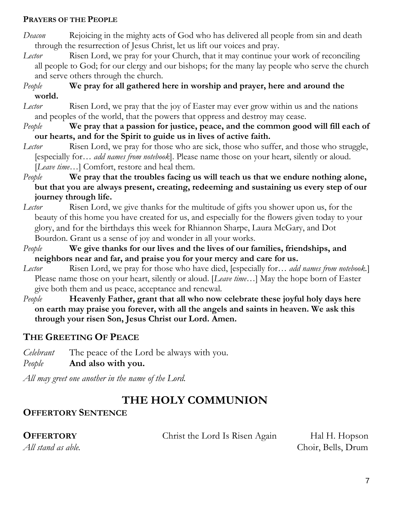#### **PRAYERS OF THE PEOPLE**

- *Deacon* Rejoicing in the mighty acts of God who has delivered all people from sin and death through the resurrection of Jesus Christ, let us lift our voices and pray.
- *Lector* Risen Lord, we pray for your Church, that it may continue your work of reconciling all people to God; for our clergy and our bishops; for the many lay people who serve the church and serve others through the church.

#### *People* **We pray for all gathered here in worship and prayer, here and around the world.**

- *Lector* Risen Lord, we pray that the joy of Easter may ever grow within us and the nations and peoples of the world, that the powers that oppress and destroy may cease.
- *People* **We pray that a passion for justice, peace, and the common good will fill each of our hearts, and for the Spirit to guide us in lives of active faith.**
- *Lector* Risen Lord, we pray for those who are sick, those who suffer, and those who struggle, [especially for… *add names from notebook*]. Please name those on your heart, silently or aloud. [*Leave time…*] Comfort, restore and heal them.
- *People* **We pray that the troubles facing us will teach us that we endure nothing alone, but that you are always present, creating, redeeming and sustaining us every step of our journey through life.**
- *Lector* Risen Lord, we give thanks for the multitude of gifts you shower upon us, for the beauty of this home you have created for us, and especially for the flowers given today to your glory, and for the birthdays this week for Rhiannon Sharpe, Laura McGary, and Dot Bourdon. Grant us a sense of joy and wonder in all your works.
- *People* **We give thanks for our lives and the lives of our families, friendships, and neighbors near and far, and praise you for your mercy and care for us.**
- *Lector* Risen Lord, we pray for those who have died, [especially for… *add names from notebook.*] Please name those on your heart, silently or aloud. [*Leave time…*] May the hope born of Easter give both them and us peace, acceptance and renewal.
- *People* **Heavenly Father, grant that all who now celebrate these joyful holy days here on earth may praise you forever, with all the angels and saints in heaven. We ask this through your risen Son, Jesus Christ our Lord. Amen.**

# **THE GREETING OF PEACE**

*Celebrant* The peace of the Lord be always with you. *People* **And also with you.**

*All may greet one another in the name of the Lord.*

# **THE HOLY COMMUNION**

# **OFFERTORY SENTENCE**

**OFFERTORY** Christ the Lord Is Risen Again Hal H. Hopson *All stand as able.* Choir Choir. Bells. Drum *All stand as able.* Choir, Bells, Drum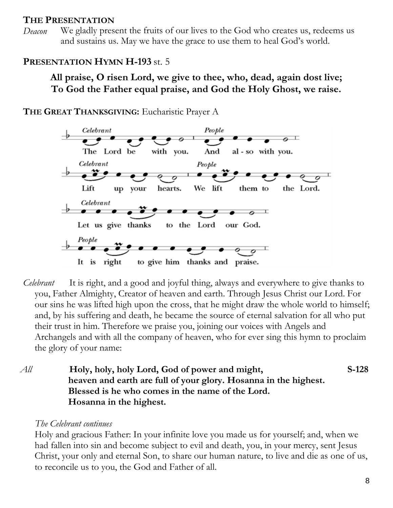#### **THE PRESENTATION**

*Deacon* We gladly present the fruits of our lives to the God who creates us, redeems us and sustains us. May we have the grace to use them to heal God's world.

## **PRESENTATION HYMN H-193** st. 5

**All praise, O risen Lord, we give to thee, who, dead, again dost live; To God the Father equal praise, and God the Holy Ghost, we raise.**

**THE GREAT THANKSGIVING:** Eucharistic Prayer A



*Celebrant* It is right, and a good and joyful thing, always and everywhere to give thanks to you, Father Almighty, Creator of heaven and earth. Through Jesus Christ our Lord. For our sins he was lifted high upon the cross, that he might draw the whole world to himself; and, by his suffering and death, he became the source of eternal salvation for all who put their trust in him. Therefore we praise you, joining our voices with Angels and Archangels and with all the company of heaven, who for ever sing this hymn to proclaim the glory of your name:

*All* **Holy, holy, holy Lord, God of power and might, S-128 heaven and earth are full of your glory. Hosanna in the highest. Blessed is he who comes in the name of the Lord. Hosanna in the highest.** 

#### *The Celebrant continues*

Holy and gracious Father: In your infinite love you made us for yourself; and, when we had fallen into sin and become subject to evil and death, you, in your mercy, sent Jesus Christ, your only and eternal Son, to share our human nature, to live and die as one of us, to reconcile us to you, the God and Father of all.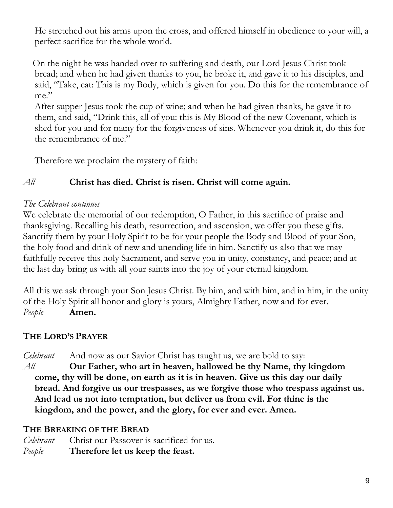He stretched out his arms upon the cross, and offered himself in obedience to your will, a perfect sacrifice for the whole world.

 On the night he was handed over to suffering and death, our Lord Jesus Christ took bread; and when he had given thanks to you, he broke it, and gave it to his disciples, and said, "Take, eat: This is my Body, which is given for you. Do this for the remembrance of me."

After supper Jesus took the cup of wine; and when he had given thanks, he gave it to them, and said, "Drink this, all of you: this is My Blood of the new Covenant, which is shed for you and for many for the forgiveness of sins. Whenever you drink it, do this for the remembrance of me."

Therefore we proclaim the mystery of faith:

## *All* **Christ has died. Christ is risen. Christ will come again.**

### *The Celebrant continues*

We celebrate the memorial of our redemption, O Father, in this sacrifice of praise and thanksgiving. Recalling his death, resurrection, and ascension, we offer you these gifts. Sanctify them by your Holy Spirit to be for your people the Body and Blood of your Son, the holy food and drink of new and unending life in him. Sanctify us also that we may faithfully receive this holy Sacrament, and serve you in unity, constancy, and peace; and at the last day bring us with all your saints into the joy of your eternal kingdom.

All this we ask through your Son Jesus Christ. By him, and with him, and in him, in the unity of the Holy Spirit all honor and glory is yours, Almighty Father, now and for ever. *People* **Amen.**

# **THE LORD'S PRAYER**

*Celebrant* And now as our Savior Christ has taught us, we are bold to say:

*All* **Our Father, who art in heaven, hallowed be thy Name, thy kingdom come, thy will be done, on earth as it is in heaven. Give us this day our daily bread. And forgive us our trespasses, as we forgive those who trespass against us. And lead us not into temptation, but deliver us from evil. For thine is the kingdom, and the power, and the glory, for ever and ever. Amen.**

# **THE BREAKING OF THE BREAD**

| Celebrant | Christ our Passover is sacrificed for us. |
|-----------|-------------------------------------------|
| People    | Therefore let us keep the feast.          |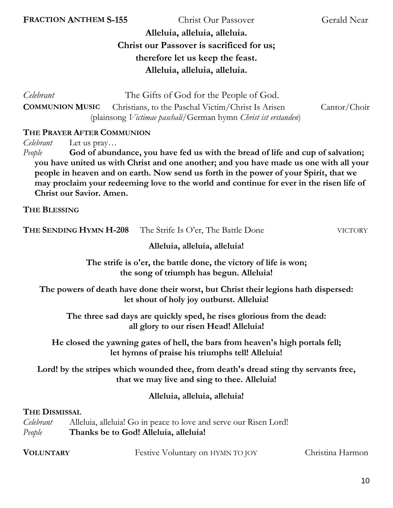# **Alleluia, alleluia, alleluia. Christ our Passover is sacrificed for us; therefore let us keep the feast. Alleluia, alleluia, alleluia.**

| Celebrant                                                      | The Gifts of God for the People of God.            |              |
|----------------------------------------------------------------|----------------------------------------------------|--------------|
| <b>COMMUNION MUSIC</b>                                         | Christians, to the Paschal Victim/Christ Is Arisen | Cantor/Choir |
| (plainsong Victimae paschali/German hymn Christ ist erstanden) |                                                    |              |

#### **THE PRAYER AFTER COMMUNION**

*Celebrant* Let us pray…

*People* **God of abundance, you have fed us with the bread of life and cup of salvation; you have united us with Christ and one another; and you have made us one with all your people in heaven and on earth. Now send us forth in the power of your Spirit, that we may proclaim your redeeming love to the world and continue for ever in the risen life of Christ our Savior. Amen.**

**THE SENDING HYMN H-208** The Strife Is O'er, The Battle Done VICTORY

**THE BLESSING** 

| THE OBTORAGE IS NOT THE OUTLET TO OUR THE DATING DOING                                                                           | , , , , , , , , , ,                                                                          |  |  |  |
|----------------------------------------------------------------------------------------------------------------------------------|----------------------------------------------------------------------------------------------|--|--|--|
| Alleluia, alleluia, alleluia!                                                                                                    |                                                                                              |  |  |  |
| The strife is o'er, the battle done, the victory of life is won;                                                                 |                                                                                              |  |  |  |
| The powers of death have done their worst, but Christ their legions hath dispersed:<br>let shout of holy joy outburst. Alleluia! |                                                                                              |  |  |  |
| The three sad days are quickly sped, he rises glorious from the dead:<br>all glory to our risen Head! Alleluia!                  |                                                                                              |  |  |  |
| He closed the yawning gates of hell, the bars from heaven's high portals fell;                                                   |                                                                                              |  |  |  |
|                                                                                                                                  | the song of triumph has begun. Alleluia!<br>let hymns of praise his triumphs tell! Alleluia! |  |  |  |

**Lord! by the stripes which wounded thee, from death's dread sting thy servants free, that we may live and sing to thee. Alleluia!** 

#### **Alleluia, alleluia, alleluia!**

#### **THE DISMISSAL**

*Celebrant* Alleluia, alleluia! Go in peace to love and serve our Risen Lord! *People* **Thanks be to God! Alleluia, alleluia!**

**VOLUNTARY Festive Voluntary on HYMN TO JOY** Christina Harmon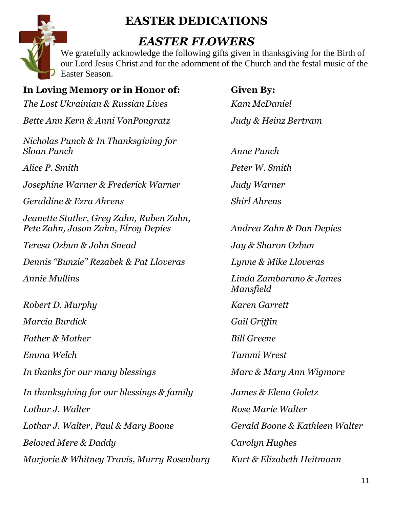# **EASTER DEDICATIONS**



# *EASTER FLOWERS*

We gratefully acknowledge the following gifts given in thanksgiving for the Birth of our Lord Jesus Christ and for the adornment of the Church and the festal music of the Easter Season.

| In Loving Memory or in Honor of:                                                | <b>Given By:</b>                     |  |
|---------------------------------------------------------------------------------|--------------------------------------|--|
| The Lost Ukrainian & Russian Lives                                              | Kam McDaniel                         |  |
| Bette Ann Kern & Anni VonPongratz                                               | Judy & Heinz Bertram                 |  |
| Nicholas Punch & In Thanksgiving for<br>Sloan Punch                             | Anne Punch                           |  |
| Alice P. Smith                                                                  | Peter W. Smith                       |  |
| Josephine Warner & Frederick Warner                                             | Judy Warner                          |  |
| Geraldine & Ezra Ahrens                                                         | <b>Shirl Ahrens</b>                  |  |
| Jeanette Statler, Greg Zahn, Ruben Zahn,<br>Pete Zahn, Jason Zahn, Elroy Depies | Andrea Zahn & Dan Depies             |  |
| Teresa Ozbun & John Snead                                                       | Jay & Sharon Ozbun                   |  |
| Dennis "Bunzie" Rezabek & Pat Lloveras                                          | Lynne & Mike Lloveras                |  |
| <i>Annie Mullins</i>                                                            | Linda Zambarano & James<br>Mansfield |  |
| Robert D. Murphy                                                                | <b>Karen Garrett</b>                 |  |
| Marcia Burdick                                                                  | Gail Griffin                         |  |
| Father & Mother                                                                 | <b>Bill Greene</b>                   |  |
| Emma Welch                                                                      | Tammi Wrest                          |  |
| In thanks for our many blessings                                                | Marc & Mary Ann Wigmore              |  |
| In thanksgiving for our blessings & family                                      | James & Elena Goletz                 |  |
| Lothar J. Walter                                                                | Rose Marie Walter                    |  |
| Lothar J. Walter, Paul & Mary Boone                                             | Gerald Boone & Kathleen Walter       |  |
| <b>Beloved Mere &amp; Daddy</b>                                                 | Carolyn Hughes                       |  |
| Marjorie & Whitney Travis, Murry Rosenburg                                      | Kurt & Elizabeth Heitmann            |  |